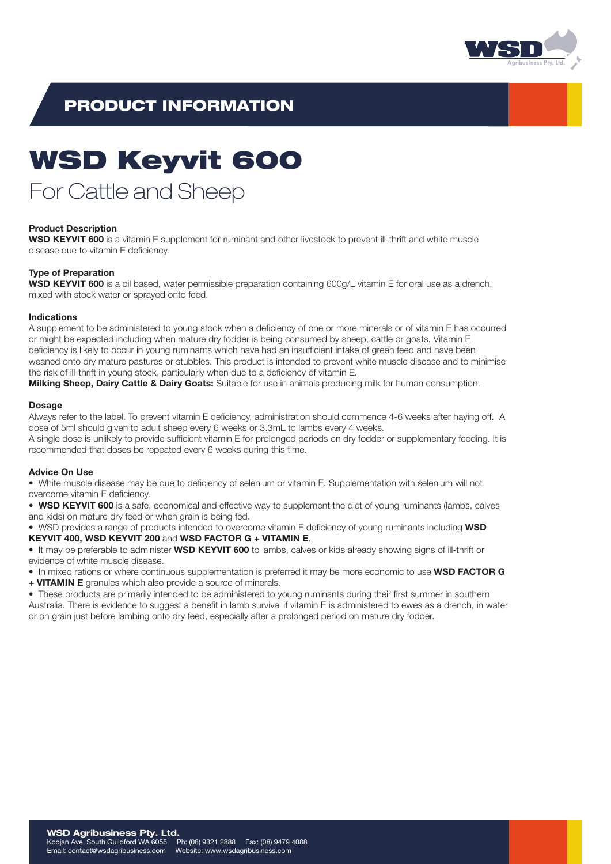

## PRODUCT INFORMATION

# WSD Keyvit 600

## For Cattle and Sheep

### Product Description

WSD KEYVIT 600 is a vitamin E supplement for ruminant and other livestock to prevent ill-thrift and white muscle disease due to vitamin E deficiency.

### Type of Preparation

WSD KEYVIT 600 is a oil based, water permissible preparation containing 600g/L vitamin E for oral use as a drench, mixed with stock water or sprayed onto feed.

#### Indications

A supplement to be administered to young stock when a deficiency of one or more minerals or of vitamin E has occurred or might be expected including when mature dry fodder is being consumed by sheep, cattle or goats. Vitamin E deficiency is likely to occur in young ruminants which have had an insufficient intake of green feed and have been weaned onto dry mature pastures or stubbles. This product is intended to prevent white muscle disease and to minimise the risk of ill-thrift in young stock, particularly when due to a deficiency of vitamin E.

Milking Sheep, Dairy Cattle & Dairy Goats: Suitable for use in animals producing milk for human consumption.

#### **Dosage**

Always refer to the label. To prevent vitamin E deficiency, administration should commence 4-6 weeks after haying off. A dose of 5ml should given to adult sheep every 6 weeks or 3.3mL to lambs every 4 weeks.

A single dose is unlikely to provide sufficient vitamin E for prolonged periods on dry fodder or supplementary feeding. It is recommended that doses be repeated every 6 weeks during this time.

#### Advice On Use

• White muscle disease may be due to deficiency of selenium or vitamin E. Supplementation with selenium will not overcome vitamin E deficiency.

• WSD KEYVIT 600 is a safe, economical and effective way to supplement the diet of young ruminants (lambs, calves and kids) on mature dry feed or when grain is being fed.

• WSD provides a range of products intended to overcome vitamin E deficiency of young ruminants including WSD KEYVIT 400, WSD KEYVIT 200 and WSD FACTOR G + VITAMIN E.

• It may be preferable to administer WSD KEYVIT 600 to lambs, calves or kids already showing signs of ill-thrift or evidence of white muscle disease.

• In mixed rations or where continuous supplementation is preferred it may be more economic to use WSD FACTOR G + VITAMIN E granules which also provide a source of minerals.

• These products are primarily intended to be administered to young ruminants during their first summer in southern Australia. There is evidence to suggest a benefit in lamb survival if vitamin E is administered to ewes as a drench, in water or on grain just before lambing onto dry feed, especially after a prolonged period on mature dry fodder.